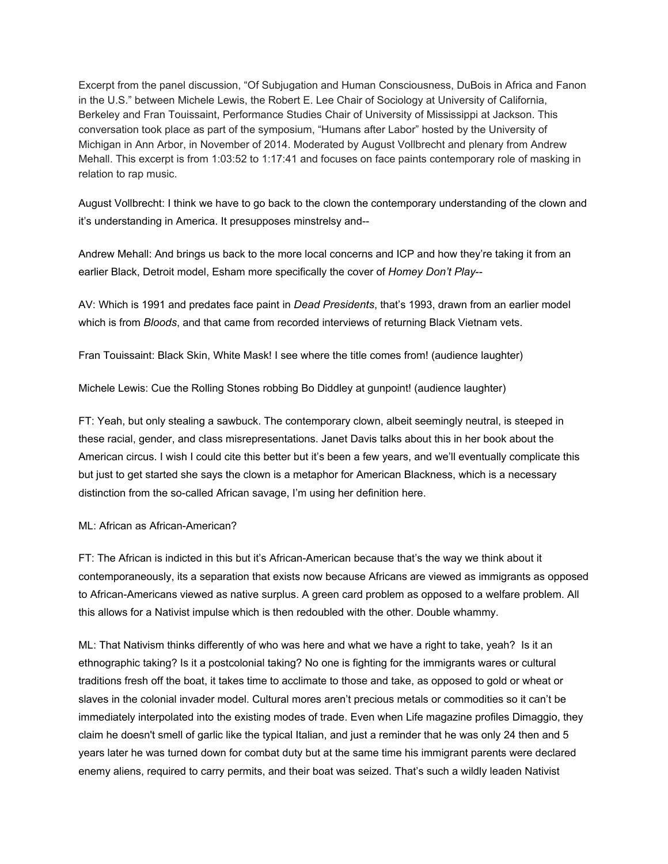Excerpt from the panel discussion, "Of Subjugation and Human Consciousness, DuBois in Africa and Fanon in the U.S." between Michele Lewis, the Robert E. Lee Chair of Sociology at University of California, Berkeley and Fran Touissaint, Performance Studies Chair of University of Mississippi at Jackson. This conversation took place as part of the symposium, "Humans after Labor" hosted by the University of Michigan in Ann Arbor, in November of 2014. Moderated by August Vollbrecht and plenary from Andrew Mehall. This excerpt is from 1:03:52 to 1:17:41 and focuses on face paints contemporary role of masking in relation to rap music.

August Vollbrecht: I think we have to go back to the clown the contemporary understanding of the clown and it's understanding in America. It presupposes minstrelsy and--

Andrew Mehall: And brings us back to the more local concerns and ICP and how they're taking it from an earlier Black, Detroit model, Esham more specifically the cover of *Homey Don't Play*--

AV: Which is 1991 and predates face paint in *Dead Presidents*, that's 1993, drawn from an earlier model which is from *Bloods*, and that came from recorded interviews of returning Black Vietnam vets.

Fran Touissaint: Black Skin, White Mask! I see where the title comes from! (audience laughter)

Michele Lewis: Cue the Rolling Stones robbing Bo Diddley at gunpoint! (audience laughter)

FT: Yeah, but only stealing a sawbuck. The contemporary clown, albeit seemingly neutral, is steeped in these racial, gender, and class misrepresentations. Janet Davis talks about this in her book about the American circus. I wish I could cite this better but it's been a few years, and we'll eventually complicate this but just to get started she says the clown is a metaphor for American Blackness, which is a necessary distinction from the so-called African savage, I'm using her definition here.

## ML: African as African-American?

FT: The African is indicted in this but it's African-American because that's the way we think about it contemporaneously, its a separation that exists now because Africans are viewed as immigrants as opposed to African-Americans viewed as native surplus. A green card problem as opposed to a welfare problem. All this allows for a Nativist impulse which is then redoubled with the other. Double whammy.

ML: That Nativism thinks differently of who was here and what we have a right to take, yeah? Is it an ethnographic taking? Is it a postcolonial taking? No one is fighting for the immigrants wares or cultural traditions fresh off the boat, it takes time to acclimate to those and take, as opposed to gold or wheat or slaves in the colonial invader model. Cultural mores aren't precious metals or commodities so it can't be immediately interpolated into the existing modes of trade. Even when Life magazine profiles Dimaggio, they claim he doesn't smell of garlic like the typical Italian, and just a reminder that he was only 24 then and 5 years later he was turned down for combat duty but at the same time his immigrant parents were declared enemy aliens, required to carry permits, and their boat was seized. That's such a wildly leaden Nativist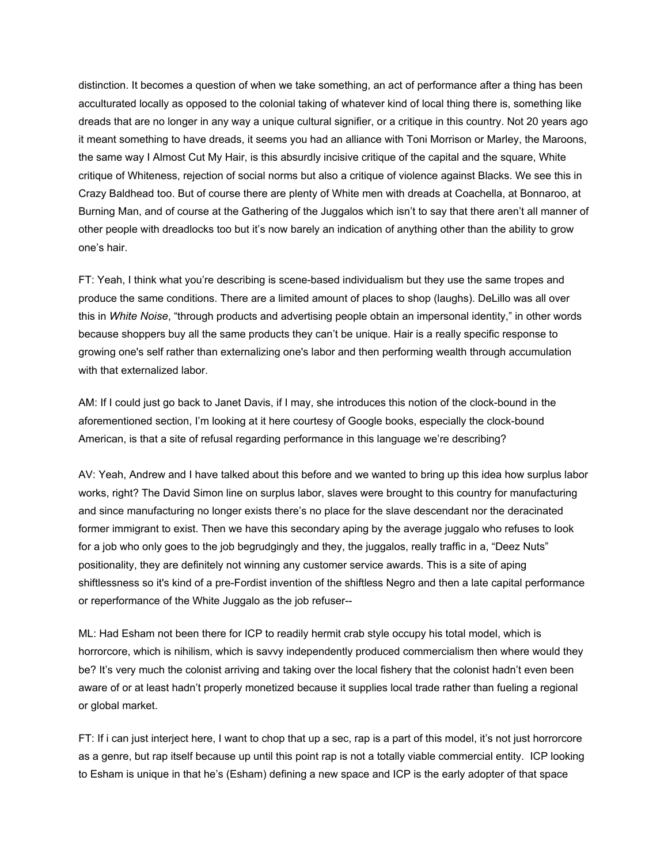distinction. It becomes a question of when we take something, an act of performance after a thing has been acculturated locally as opposed to the colonial taking of whatever kind of local thing there is, something like dreads that are no longer in any way a unique cultural signifier, or a critique in this country. Not 20 years ago it meant something to have dreads, it seems you had an alliance with Toni Morrison or Marley, the Maroons, the same way I Almost Cut My Hair, is this absurdly incisive critique of the capital and the square, White critique of Whiteness, rejection of social norms but also a critique of violence against Blacks. We see this in Crazy Baldhead too. But of course there are plenty of White men with dreads at Coachella, at Bonnaroo, at Burning Man, and of course at the Gathering of the Juggalos which isn't to say that there aren't all manner of other people with dreadlocks too but it's now barely an indication of anything other than the ability to grow one's hair.

FT: Yeah, I think what you're describing is scene-based individualism but they use the same tropes and produce the same conditions. There are a limited amount of places to shop (laughs). DeLillo was all over this in *White Noise*, "through products and advertising people obtain an impersonal identity," in other words because shoppers buy all the same products they can't be unique. Hair is a really specific response to growing one's self rather than externalizing one's labor and then performing wealth through accumulation with that externalized labor.

AM: If I could just go back to Janet Davis, if I may, she introduces this notion of the clock-bound in the aforementioned section, I'm looking at it here courtesy of Google books, especially the clock-bound American, is that a site of refusal regarding performance in this language we're describing?

AV: Yeah, Andrew and I have talked about this before and we wanted to bring up this idea how surplus labor works, right? The David Simon line on surplus labor, slaves were brought to this country for manufacturing and since manufacturing no longer exists there's no place for the slave descendant nor the deracinated former immigrant to exist. Then we have this secondary aping by the average juggalo who refuses to look for a job who only goes to the job begrudgingly and they, the juggalos, really traffic in a, "Deez Nuts" positionality, they are definitely not winning any customer service awards. This is a site of aping shiftlessness so it's kind of a pre-Fordist invention of the shiftless Negro and then a late capital performance or reperformance of the White Juggalo as the job refuser--

ML: Had Esham not been there for ICP to readily hermit crab style occupy his total model, which is horrorcore, which is nihilism, which is savvy independently produced commercialism then where would they be? It's very much the colonist arriving and taking over the local fishery that the colonist hadn't even been aware of or at least hadn't properly monetized because it supplies local trade rather than fueling a regional or global market.

FT: If i can just interject here, I want to chop that up a sec, rap is a part of this model, it's not just horrorcore as a genre, but rap itself because up until this point rap is not a totally viable commercial entity. ICP looking to Esham is unique in that he's (Esham) defining a new space and ICP is the early adopter of that space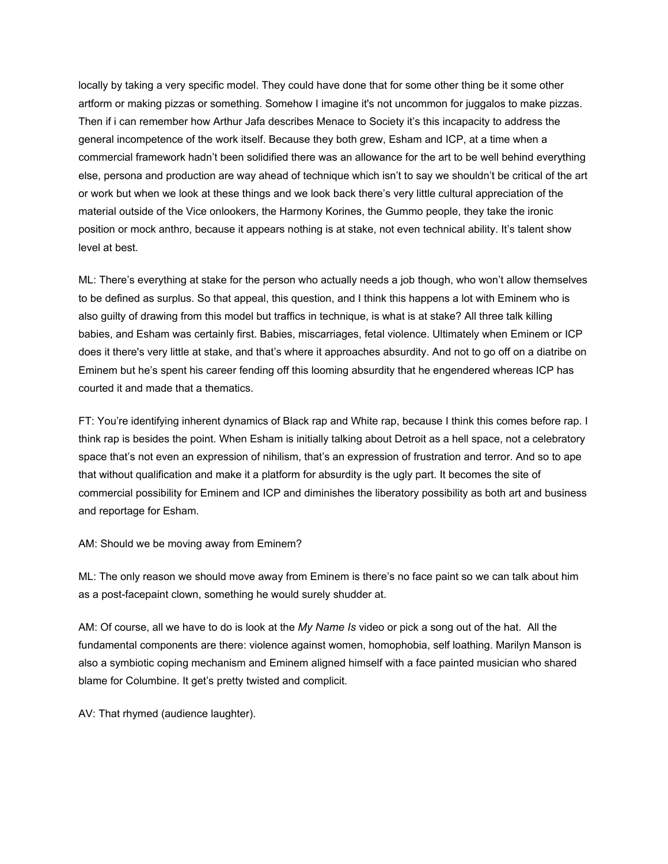locally by taking a very specific model. They could have done that for some other thing be it some other artform or making pizzas or something. Somehow I imagine it's not uncommon for juggalos to make pizzas. Then if i can remember how Arthur Jafa describes Menace to Society it's this incapacity to address the general incompetence of the work itself. Because they both grew, Esham and ICP, at a time when a commercial framework hadn't been solidified there was an allowance for the art to be well behind everything else, persona and production are way ahead of technique which isn't to say we shouldn't be critical of the art or work but when we look at these things and we look back there's very little cultural appreciation of the material outside of the Vice onlookers, the Harmony Korines, the Gummo people, they take the ironic position or mock anthro, because it appears nothing is at stake, not even technical ability. It's talent show level at best.

ML: There's everything at stake for the person who actually needs a job though, who won't allow themselves to be defined as surplus. So that appeal, this question, and I think this happens a lot with Eminem who is also guilty of drawing from this model but traffics in technique, is what is at stake? All three talk killing babies, and Esham was certainly first. Babies, miscarriages, fetal violence. Ultimately when Eminem or ICP does it there's very little at stake, and that's where it approaches absurdity. And not to go off on a diatribe on Eminem but he's spent his career fending off this looming absurdity that he engendered whereas ICP has courted it and made that a thematics.

FT: You're identifying inherent dynamics of Black rap and White rap, because I think this comes before rap. I think rap is besides the point. When Esham is initially talking about Detroit as a hell space, not a celebratory space that's not even an expression of nihilism, that's an expression of frustration and terror. And so to ape that without qualification and make it a platform for absurdity is the ugly part. It becomes the site of commercial possibility for Eminem and ICP and diminishes the liberatory possibility as both art and business and reportage for Esham.

AM: Should we be moving away from Eminem?

ML: The only reason we should move away from Eminem is there's no face paint so we can talk about him as a post-facepaint clown, something he would surely shudder at.

AM: Of course, all we have to do is look at the *My Name Is* video or pick a song out of the hat. All the fundamental components are there: violence against women, homophobia, self loathing. Marilyn Manson is also a symbiotic coping mechanism and Eminem aligned himself with a face painted musician who shared blame for Columbine. It get's pretty twisted and complicit.

AV: That rhymed (audience laughter).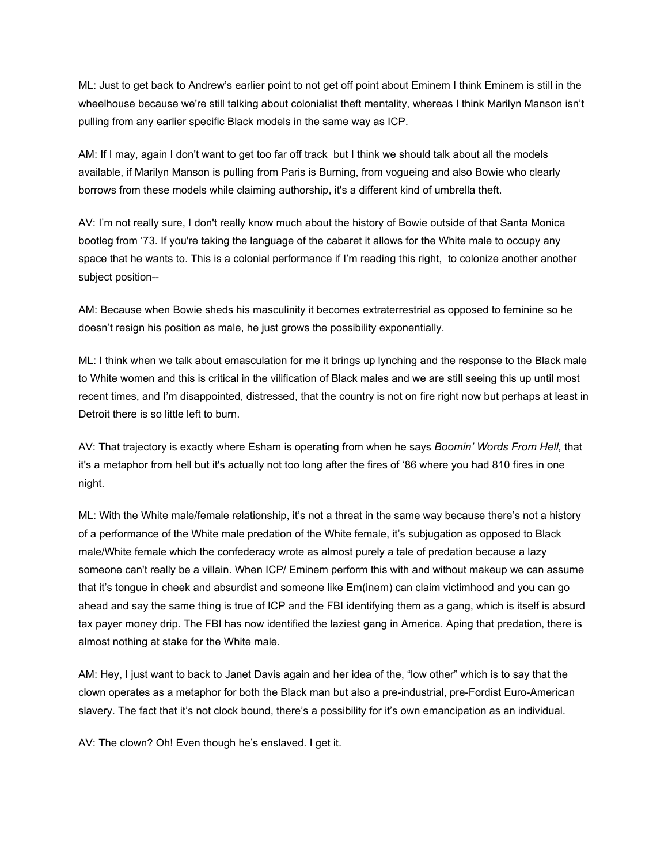ML: Just to get back to Andrew's earlier point to not get off point about Eminem I think Eminem is still in the wheelhouse because we're still talking about colonialist theft mentality, whereas I think Marilyn Manson isn't pulling from any earlier specific Black models in the same way as ICP.

AM: If I may, again I don't want to get too far off track but I think we should talk about all the models available, if Marilyn Manson is pulling from Paris is Burning, from vogueing and also Bowie who clearly borrows from these models while claiming authorship, it's a different kind of umbrella theft.

AV: I'm not really sure, I don't really know much about the history of Bowie outside of that Santa Monica bootleg from '73. If you're taking the language of the cabaret it allows for the White male to occupy any space that he wants to. This is a colonial performance if I'm reading this right, to colonize another another subject position--

AM: Because when Bowie sheds his masculinity it becomes extraterrestrial as opposed to feminine so he doesn't resign his position as male, he just grows the possibility exponentially.

ML: I think when we talk about emasculation for me it brings up lynching and the response to the Black male to White women and this is critical in the vilification of Black males and we are still seeing this up until most recent times, and I'm disappointed, distressed, that the country is not on fire right now but perhaps at least in Detroit there is so little left to burn.

AV: That trajectory is exactly where Esham is operating from when he says *Boomin' Words From Hell,* that it's a metaphor from hell but it's actually not too long after the fires of '86 where you had 810 fires in one night.

ML: With the White male/female relationship, it's not a threat in the same way because there's not a history of a performance of the White male predation of the White female, it's subjugation as opposed to Black male/White female which the confederacy wrote as almost purely a tale of predation because a lazy someone can't really be a villain. When ICP/ Eminem perform this with and without makeup we can assume that it's tongue in cheek and absurdist and someone like Em(inem) can claim victimhood and you can go ahead and say the same thing is true of ICP and the FBI identifying them as a gang, which is itself is absurd tax payer money drip. The FBI has now identified the laziest gang in America. Aping that predation, there is almost nothing at stake for the White male.

AM: Hey, I just want to back to Janet Davis again and her idea of the, "low other" which is to say that the clown operates as a metaphor for both the Black man but also a pre-industrial, pre-Fordist Euro-American slavery. The fact that it's not clock bound, there's a possibility for it's own emancipation as an individual.

AV: The clown? Oh! Even though he's enslaved. I get it.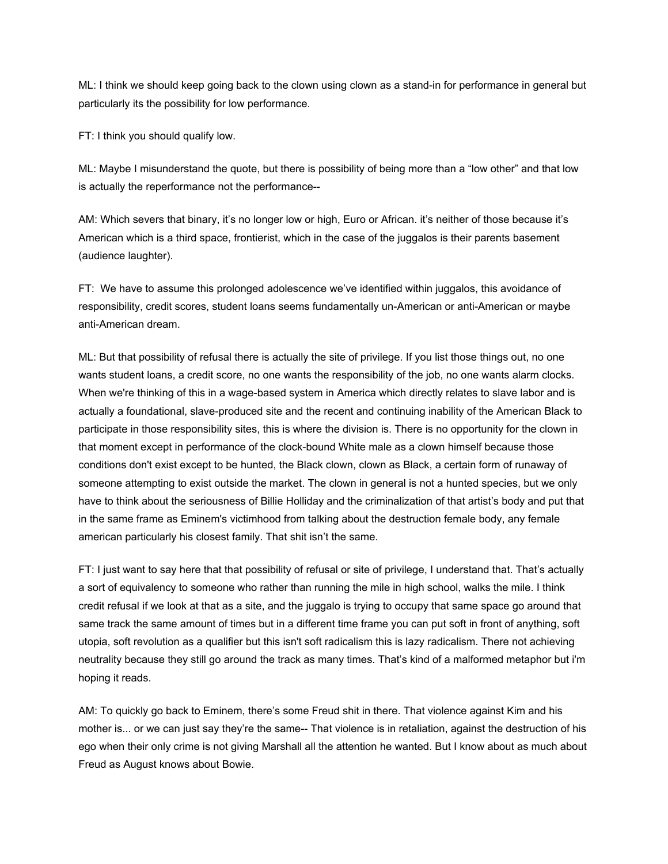ML: I think we should keep going back to the clown using clown as a stand-in for performance in general but particularly its the possibility for low performance.

FT: I think you should qualify low.

ML: Maybe I misunderstand the quote, but there is possibility of being more than a "low other" and that low is actually the reperformance not the performance--

AM: Which severs that binary, it's no longer low or high, Euro or African. it's neither of those because it's American which is a third space, frontierist, which in the case of the juggalos is their parents basement (audience laughter).

FT: We have to assume this prolonged adolescence we've identified within juggalos, this avoidance of responsibility, credit scores, student loans seems fundamentally un-American or anti-American or maybe anti-American dream.

ML: But that possibility of refusal there is actually the site of privilege. If you list those things out, no one wants student loans, a credit score, no one wants the responsibility of the job, no one wants alarm clocks. When we're thinking of this in a wage-based system in America which directly relates to slave labor and is actually a foundational, slave-produced site and the recent and continuing inability of the American Black to participate in those responsibility sites, this is where the division is. There is no opportunity for the clown in that moment except in performance of the clock-bound White male as a clown himself because those conditions don't exist except to be hunted, the Black clown, clown as Black, a certain form of runaway of someone attempting to exist outside the market. The clown in general is not a hunted species, but we only have to think about the seriousness of Billie Holliday and the criminalization of that artist's body and put that in the same frame as Eminem's victimhood from talking about the destruction female body, any female american particularly his closest family. That shit isn't the same.

FT: I just want to say here that that possibility of refusal or site of privilege, I understand that. That's actually a sort of equivalency to someone who rather than running the mile in high school, walks the mile. I think credit refusal if we look at that as a site, and the juggalo is trying to occupy that same space go around that same track the same amount of times but in a different time frame you can put soft in front of anything, soft utopia, soft revolution as a qualifier but this isn't soft radicalism this is lazy radicalism. There not achieving neutrality because they still go around the track as many times. That's kind of a malformed metaphor but i'm hoping it reads.

AM: To quickly go back to Eminem, there's some Freud shit in there. That violence against Kim and his mother is... or we can just say they're the same-- That violence is in retaliation, against the destruction of his ego when their only crime is not giving Marshall all the attention he wanted. But I know about as much about Freud as August knows about Bowie.